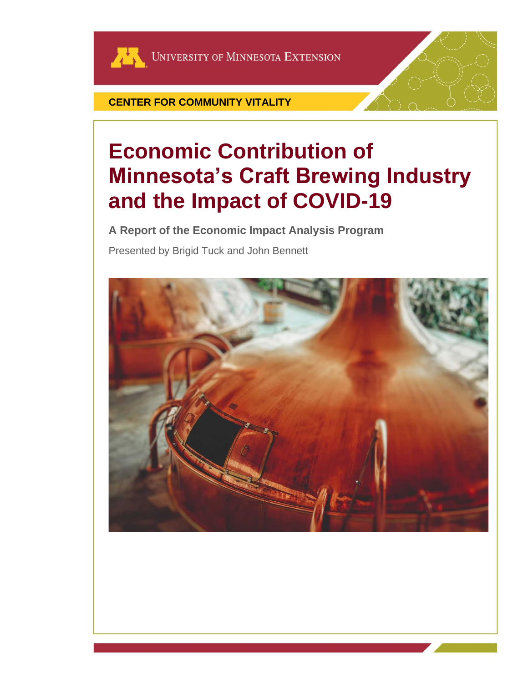

**CENTER FOR COMMUNITY VITALITY**

# **Economic Contribution of Minnesota's Craft Brewing Industry and the Impact of COVID-19**

**A Report of the Economic Impact Analysis Program** Presented by Brigid Tuck and John Bennett

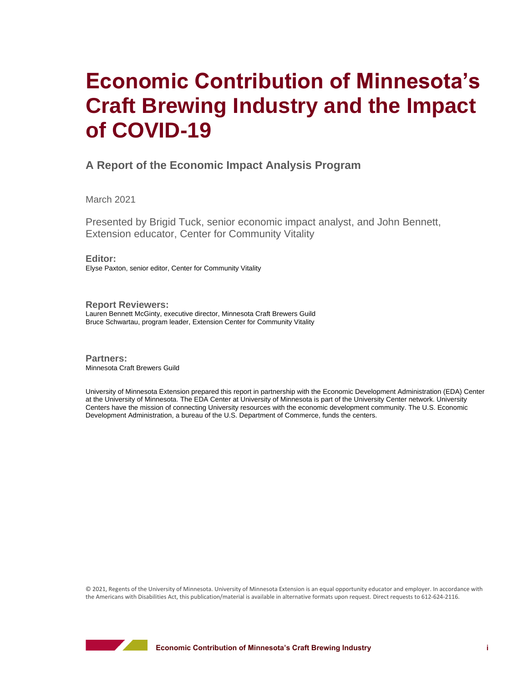## **Economic Contribution of Minnesota's Craft Brewing Industry and the Impact of COVID-19**

## **A Report of the Economic Impact Analysis Program**

March 2021

Presented by Brigid Tuck, senior economic impact analyst, and John Bennett, Extension educator, Center for Community Vitality

**Editor:** Elyse Paxton, senior editor, Center for Community Vitality

**Report Reviewers:** Lauren Bennett McGinty, executive director, Minnesota Craft Brewers Guild Bruce Schwartau, program leader, Extension Center for Community Vitality

**Partners:** Minnesota Craft Brewers Guild

University of Minnesota Extension prepared this report in partnership with the Economic Development Administration (EDA) Center at the University of Minnesota. The EDA Center at University of Minnesota is part of the University Center network. University Centers have the mission of connecting University resources with the economic development community. The U.S. Economic Development Administration, a bureau of the U.S. Department of Commerce, funds the centers.

© 2021, Regents of the University of Minnesota. University of Minnesota Extension is an equal opportunity educator and employer. In accordance with the Americans with Disabilities Act, this publication/material is available in alternative formats upon request. Direct requests to 612-624-2116.

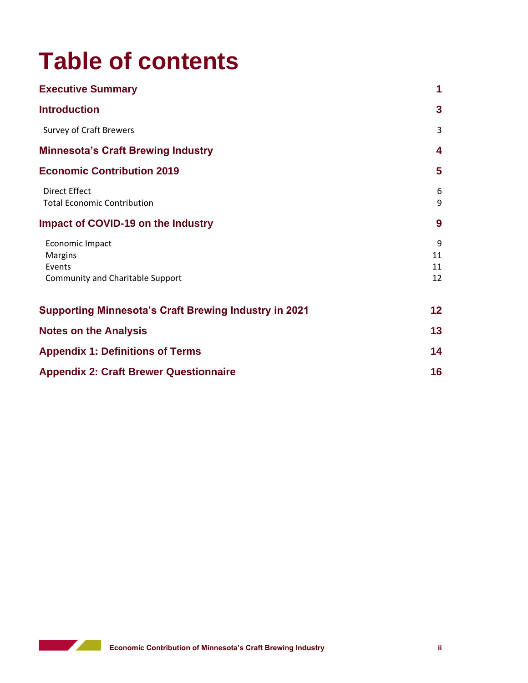# **Table of contents**

| <b>Executive Summary</b>                                                        | 1                   |
|---------------------------------------------------------------------------------|---------------------|
| <b>Introduction</b>                                                             | 3                   |
| <b>Survey of Craft Brewers</b>                                                  | 3                   |
| <b>Minnesota's Craft Brewing Industry</b>                                       | 4                   |
| <b>Economic Contribution 2019</b>                                               | 5                   |
| Direct Effect<br><b>Total Economic Contribution</b>                             | 6<br>9              |
| Impact of COVID-19 on the Industry                                              | 9                   |
| Economic Impact<br><b>Margins</b><br>Events<br>Community and Charitable Support | 9<br>11<br>11<br>12 |
| <b>Supporting Minnesota's Craft Brewing Industry in 2021</b>                    | $12 \,$             |
| <b>Notes on the Analysis</b>                                                    | 13                  |
| <b>Appendix 1: Definitions of Terms</b>                                         | 14                  |
| <b>Appendix 2: Craft Brewer Questionnaire</b>                                   | 16                  |

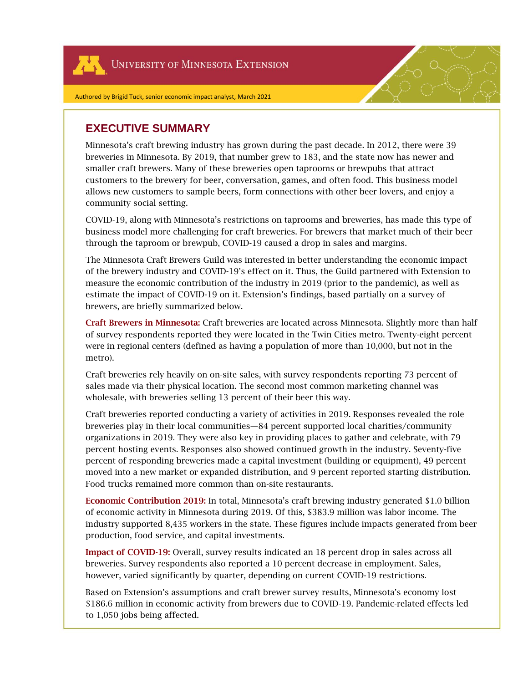UNIVERSITY OF MINNESOTA EXTENSION

## **EXECUTIVE SUMMARY**

Minnesota's craft brewing industry has grown during the past decade. In 2012, there were 39 breweries in Minnesota. By 2019, that number grew to 183, and the state now has newer and smaller craft brewers. Many of these breweries open taprooms or brewpubs that attract customers to the brewery for beer, conversation, games, and often food. This business model allows new customers to sample beers, form connections with other beer lovers, and enjoy a community social setting.

COVID-19, along with Minnesota's restrictions on taprooms and breweries, has made this type of business model more challenging for craft breweries. For brewers that market much of their beer through the taproom or brewpub, COVID-19 caused a drop in sales and margins.

The Minnesota Craft Brewers Guild was interested in better understanding the economic impact of the brewery industry and COVID-19's effect on it. Thus, the Guild partnered with Extension to measure the economic contribution of the industry in 2019 (prior to the pandemic), as well as estimate the impact of COVID-19 on it. Extension's findings, based partially on a survey of brewers, are briefly summarized below.

Craft Brewers in Minnesota: Craft breweries are located across Minnesota. Slightly more than half of survey respondents reported they were located in the Twin Cities metro. Twenty-eight percent were in regional centers (defined as having a population of more than 10,000, but not in the metro).

Craft breweries rely heavily on on-site sales, with survey respondents reporting 73 percent of sales made via their physical location. The second most common marketing channel was wholesale, with breweries selling 13 percent of their beer this way.

Craft breweries reported conducting a variety of activities in 2019. Responses revealed the role breweries play in their local communities—84 percent supported local charities/community organizations in 2019. They were also key in providing places to gather and celebrate, with 79 percent hosting events. Responses also showed continued growth in the industry. Seventy-five percent of responding breweries made a capital investment (building or equipment), 49 percent moved into a new market or expanded distribution, and 9 percent reported starting distribution. Food trucks remained more common than on-site restaurants.

Economic Contribution 2019: In total, Minnesota's craft brewing industry generated \$1.0 billion of economic activity in Minnesota during 2019. Of this, \$383.9 million was labor income. The industry supported 8,435 workers in the state. These figures include impacts generated from beer production, food service, and capital investments.

Impact of COVID-19: Overall, survey results indicated an 18 percent drop in sales across all breweries. Survey respondents also reported a 10 percent decrease in employment. Sales, however, varied significantly by quarter, depending on current COVID-19 restrictions.

Based on Extension's assumptions and craft brewer survey results, Minnesota's economy lost \$186.6 million in economic activity from brewers due to COVID-19. Pandemic-related effects led to 1,050 jobs being affected.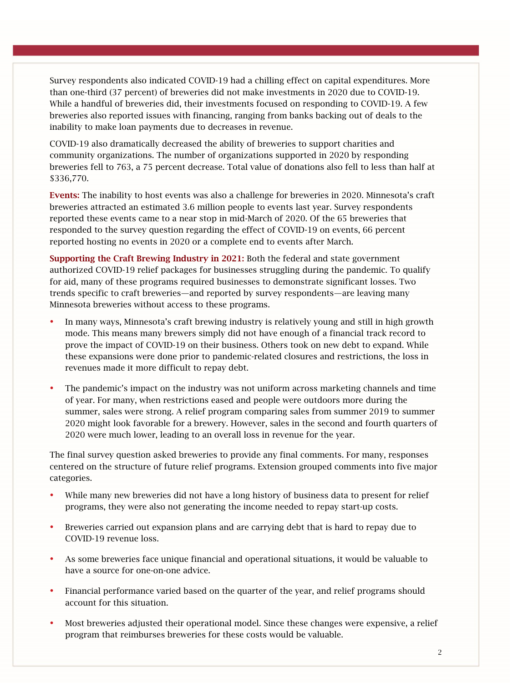Survey respondents also indicated COVID-19 had a chilling effect on capital expenditures. More than one-third (37 percent) of breweries did not make investments in 2020 due to COVID-19. While a handful of breweries did, their investments focused on responding to COVID-19. A few breweries also reported issues with financing, ranging from banks backing out of deals to the inability to make loan payments due to decreases in revenue.

COVID-19 also dramatically decreased the ability of breweries to support charities and community organizations. The number of organizations supported in 2020 by responding breweries fell to 763, a 75 percent decrease. Total value of donations also fell to less than half at \$336,770.

Events: The inability to host events was also a challenge for breweries in 2020. Minnesota's craft breweries attracted an estimated 3.6 million people to events last year. Survey respondents reported these events came to a near stop in mid-March of 2020. Of the 65 breweries that responded to the survey question regarding the effect of COVID-19 on events, 66 percent reported hosting no events in 2020 or a complete end to events after March.

Supporting the Craft Brewing Industry in 2021: Both the federal and state government authorized COVID-19 relief packages for businesses struggling during the pandemic. To qualify for aid, many of these programs required businesses to demonstrate significant losses. Two trends specific to craft breweries—and reported by survey respondents—are leaving many Minnesota breweries without access to these programs.

- In many ways, Minnesota's craft brewing industry is relatively young and still in high growth mode. This means many brewers simply did not have enough of a financial track record to prove the impact of COVID-19 on their business. Others took on new debt to expand. While these expansions were done prior to pandemic-related closures and restrictions, the loss in revenues made it more difficult to repay debt.
- The pandemic's impact on the industry was not uniform across marketing channels and time of year. For many, when restrictions eased and people were outdoors more during the summer, sales were strong. A relief program comparing sales from summer 2019 to summer 2020 might look favorable for a brewery. However, sales in the second and fourth quarters of 2020 were much lower, leading to an overall loss in revenue for the year.

The final survey question asked breweries to provide any final comments. For many, responses centered on the structure of future relief programs. Extension grouped comments into five major categories.

- While many new breweries did not have a long history of business data to present for relief programs, they were also not generating the income needed to repay start-up costs.
- Breweries carried out expansion plans and are carrying debt that is hard to repay due to COVID-19 revenue loss.
- As some breweries face unique financial and operational situations, it would be valuable to have a source for one-on-one advice.
- Financial performance varied based on the quarter of the year, and relief programs should account for this situation.
- Most breweries adjusted their operational model. Since these changes were expensive, a relief program that reimburses breweries for these costs would be valuable.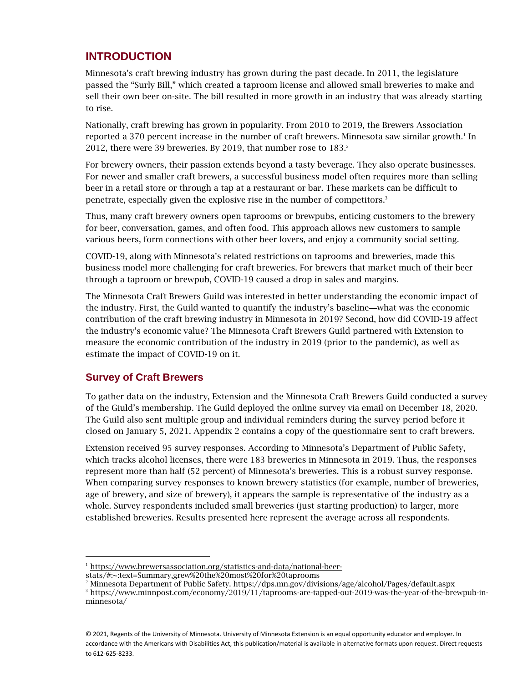## **INTRODUCTION**

Minnesota's craft brewing industry has grown during the past decade. In 2011, the legislature passed the "Surly Bill," which created a taproom license and allowed small breweries to make and sell their own beer on-site. The bill resulted in more growth in an industry that was already starting to rise.

Nationally, craft brewing has grown in popularity. From 2010 to 2019, the Brewers Association reported a 370 percent increase in the number of craft brewers. Minnesota saw similar growth.<sup>1</sup> In 2012, there were 39 breweries. By 2019, that number rose to 183. 2

For brewery owners, their passion extends beyond a tasty beverage. They also operate businesses. For newer and smaller craft brewers, a successful business model often requires more than selling beer in a retail store or through a tap at a restaurant or bar. These markets can be difficult to penetrate, especially given the explosive rise in the number of competitors.<sup>3</sup>

Thus, many craft brewery owners open taprooms or brewpubs, enticing customers to the brewery for beer, conversation, games, and often food. This approach allows new customers to sample various beers, form connections with other beer lovers, and enjoy a community social setting.

COVID-19, along with Minnesota's related restrictions on taprooms and breweries, made this business model more challenging for craft breweries. For brewers that market much of their beer through a taproom or brewpub, COVID-19 caused a drop in sales and margins.

The Minnesota Craft Brewers Guild was interested in better understanding the economic impact of the industry. First, the Guild wanted to quantify the industry's baseline—what was the economic contribution of the craft brewing industry in Minnesota in 2019? Second, how did COVID-19 affect the industry's economic value? The Minnesota Craft Brewers Guild partnered with Extension to measure the economic contribution of the industry in 2019 (prior to the pandemic), as well as estimate the impact of COVID-19 on it.

## **Survey of Craft Brewers**

To gather data on the industry, Extension and the Minnesota Craft Brewers Guild conducted a survey of the Giuld's membership. The Guild deployed the online survey via email on December 18, 2020. The Guild also sent multiple group and individual reminders during the survey period before it closed on January 5, 2021. Appendix 2 contains a copy of the questionnaire sent to craft brewers.

Extension received 95 survey responses. According to Minnesota's Department of Public Safety, which tracks alcohol licenses, there were 183 breweries in Minnesota in 2019. Thus, the responses represent more than half (52 percent) of Minnesota's breweries. This is a robust survey response. When comparing survey responses to known brewery statistics (for example, number of breweries, age of brewery, and size of brewery), it appears the sample is representative of the industry as a whole. Survey respondents included small breweries (just starting production) to larger, more established breweries. Results presented here represent the average across all respondents.

<sup>&</sup>lt;sup>1</sup> [https://www.brewersassociation.org/statistics-and-data/national-beer-](https://www.brewersassociation.org/statistics-and-data/national-beer-stats/#:~:text=Summary,grew%20the%20most%20for%20taprooms)

[stats/#:~:text=Summary,grew%20the%20most%20for%20taprooms](https://www.brewersassociation.org/statistics-and-data/national-beer-stats/#:~:text=Summary,grew%20the%20most%20for%20taprooms)

<sup>2</sup> Minnesota Department of Public Safety. https://dps.mn.gov/divisions/age/alcohol/Pages/default.aspx

<sup>3</sup> https://www.minnpost.com/economy/2019/11/taprooms-are-tapped-out-2019-was-the-year-of-the-brewpub-inminnesota/

<sup>© 2021,</sup> Regents of the University of Minnesota. University of Minnesota Extension is an equal opportunity educator and employer. In accordance with the Americans with Disabilities Act, this publication/material is available in alternative formats upon request. Direct requests to 612-625-8233.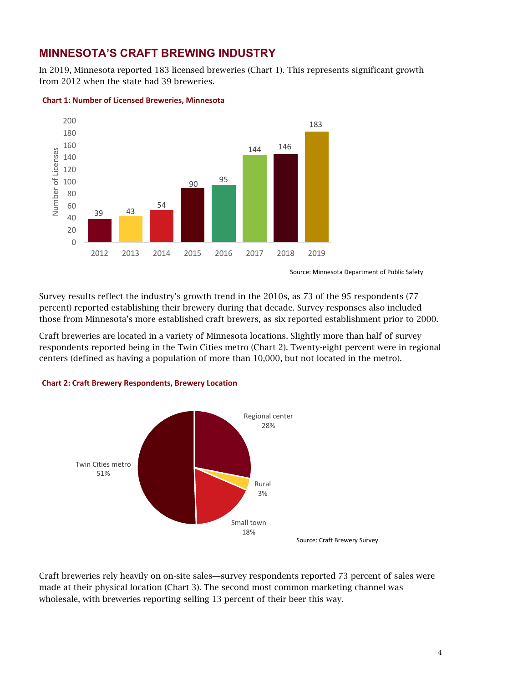## **MINNESOTA'S CRAFT BREWING INDUSTRY**

In 2019, Minnesota reported 183 licensed breweries (Chart 1). This represents significant growth from 2012 when the state had 39 breweries.



#### **Chart 1: Number of Licensed Breweries, Minnesota**

Source: Minnesota Department of Public Safety

Survey results reflect the industry's growth trend in the 2010s, as 73 of the 95 respondents (77 percent) reported establishing their brewery during that decade. Survey responses also included those from Minnesota's more established craft brewers, as six reported establishment prior to 2000.

Craft breweries are located in a variety of Minnesota locations. Slightly more than half of survey respondents reported being in the Twin Cities metro (Chart 2). Twenty-eight percent were in regional centers (defined as having a population of more than 10,000, but not located in the metro).



#### **Chart 2: Craft Brewery Respondents, Brewery Location**

Craft breweries rely heavily on on-site sales—survey respondents reported 73 percent of sales were made at their physical location (Chart 3). The second most common marketing channel was wholesale, with breweries reporting selling 13 percent of their beer this way.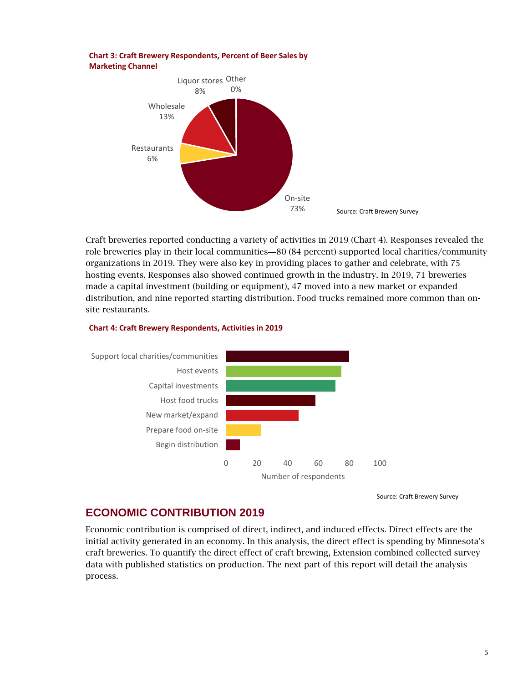#### **Chart 3: Craft Brewery Respondents, Percent of Beer Sales by Marketing Channel**



Craft breweries reported conducting a variety of activities in 2019 (Chart 4). Responses revealed the role breweries play in their local communities—80 (84 percent) supported local charities/community organizations in 2019. They were also key in providing places to gather and celebrate, with 75 hosting events. Responses also showed continued growth in the industry. In 2019, 71 breweries made a capital investment (building or equipment), 47 moved into a new market or expanded distribution, and nine reported starting distribution. Food trucks remained more common than onsite restaurants.

#### **Chart 4: Craft Brewery Respondents, Activities in 2019**



Source: Craft Brewery Survey

## **ECONOMIC CONTRIBUTION 2019**

Economic contribution is comprised of direct, indirect, and induced effects. Direct effects are the initial activity generated in an economy. In this analysis, the direct effect is spending by Minnesota's craft breweries. To quantify the direct effect of craft brewing, Extension combined collected survey data with published statistics on production. The next part of this report will detail the analysis process.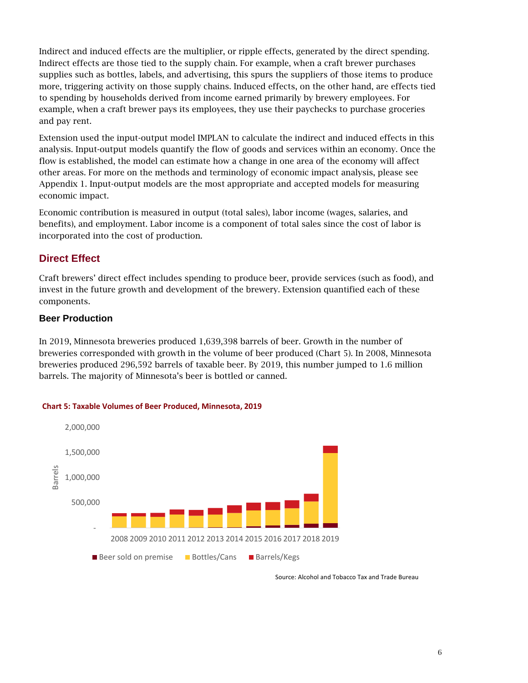Indirect and induced effects are the multiplier, or ripple effects, generated by the direct spending. Indirect effects are those tied to the supply chain. For example, when a craft brewer purchases supplies such as bottles, labels, and advertising, this spurs the suppliers of those items to produce more, triggering activity on those supply chains. Induced effects, on the other hand, are effects tied to spending by households derived from income earned primarily by brewery employees. For example, when a craft brewer pays its employees, they use their paychecks to purchase groceries and pay rent.

Extension used the input-output model IMPLAN to calculate the indirect and induced effects in this analysis. Input-output models quantify the flow of goods and services within an economy. Once the flow is established, the model can estimate how a change in one area of the economy will affect other areas. For more on the methods and terminology of economic impact analysis, please see Appendix 1. Input-output models are the most appropriate and accepted models for measuring economic impact.

Economic contribution is measured in output (total sales), labor income (wages, salaries, and benefits), and employment. Labor income is a component of total sales since the cost of labor is incorporated into the cost of production.

## **Direct Effect**

Craft brewers' direct effect includes spending to produce beer, provide services (such as food), and invest in the future growth and development of the brewery. Extension quantified each of these components.

#### **Beer Production**

In 2019, Minnesota breweries produced 1,639,398 barrels of beer. Growth in the number of breweries corresponded with growth in the volume of beer produced (Chart 5). In 2008, Minnesota breweries produced 296,592 barrels of taxable beer. By 2019, this number jumped to 1.6 million barrels. The majority of Minnesota's beer is bottled or canned.



#### **Chart 5: Taxable Volumes of Beer Produced, Minnesota, 2019**

Source: Alcohol and Tobacco Tax and Trade Bureau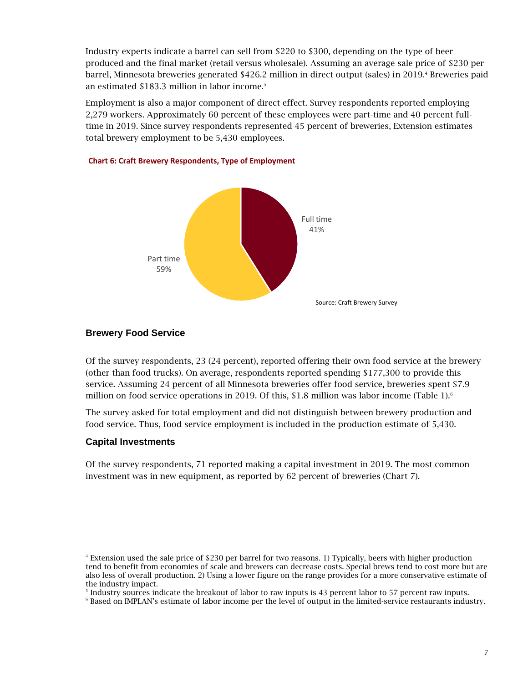Industry experts indicate a barrel can sell from \$220 to \$300, depending on the type of beer produced and the final market (retail versus wholesale). Assuming an average sale price of \$230 per barrel, Minnesota breweries generated \$426.2 million in direct output (sales) in 2019.<sup>4</sup> Breweries paid an estimated \$183.3 million in labor income.<sup>5</sup>

Employment is also a major component of direct effect. Survey respondents reported employing 2,279 workers. Approximately 60 percent of these employees were part-time and 40 percent fulltime in 2019. Since survey respondents represented 45 percent of breweries, Extension estimates total brewery employment to be 5,430 employees.



#### **Chart 6: Craft Brewery Respondents, Type of Employment**

#### **Brewery Food Service**

Of the survey respondents, 23 (24 percent), reported offering their own food service at the brewery (other than food trucks). On average, respondents reported spending \$177,300 to provide this service. Assuming 24 percent of all Minnesota breweries offer food service, breweries spent \$7.9 million on food service operations in 2019. Of this, \$1.8 million was labor income (Table 1).<sup>6</sup>

The survey asked for total employment and did not distinguish between brewery production and food service. Thus, food service employment is included in the production estimate of 5,430.

#### **Capital Investments**

Of the survey respondents, 71 reported making a capital investment in 2019. The most common investment was in new equipment, as reported by 62 percent of breweries (Chart 7).

<sup>4</sup> Extension used the sale price of \$230 per barrel for two reasons. 1) Typically, beers with higher production tend to benefit from economies of scale and brewers can decrease costs. Special brews tend to cost more but are also less of overall production. 2) Using a lower figure on the range provides for a more conservative estimate of the industry impact.

<sup>&</sup>lt;sup>5</sup> Industry sources indicate the breakout of labor to raw inputs is 43 percent labor to 57 percent raw inputs.

<sup>6</sup> Based on IMPLAN's estimate of labor income per the level of output in the limited-service restaurants industry.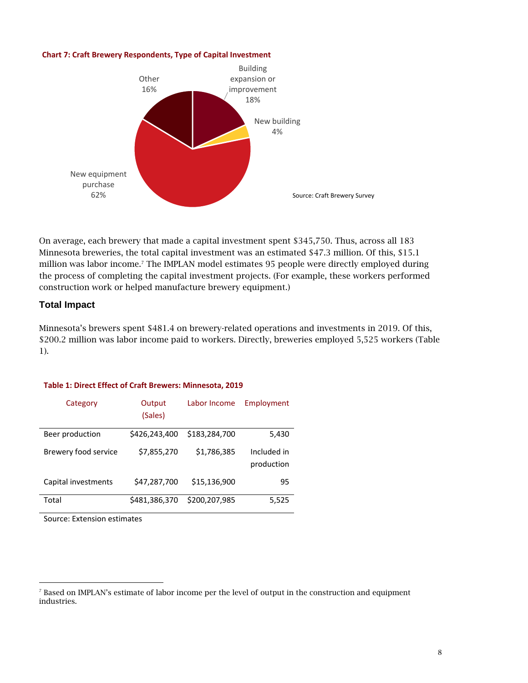#### **Chart 7: Craft Brewery Respondents, Type of Capital Investment**



On average, each brewery that made a capital investment spent \$345,750. Thus, across all 183 Minnesota breweries, the total capital investment was an estimated \$47.3 million. Of this, \$15.1 million was labor income.<sup>7</sup> The IMPLAN model estimates 95 people were directly employed during the process of completing the capital investment projects. (For example, these workers performed construction work or helped manufacture brewery equipment.)

#### **Total Impact**

Minnesota's brewers spent \$481.4 on brewery-related operations and investments in 2019. Of this, \$200.2 million was labor income paid to workers. Directly, breweries employed 5,525 workers (Table 1).

#### **Table 1: Direct Effect of Craft Brewers: Minnesota, 2019**

| Category             | Output<br>(Sales) | Labor Income  | Employment                |
|----------------------|-------------------|---------------|---------------------------|
| Beer production      | \$426,243,400     | \$183,284,700 | 5,430                     |
| Brewery food service | \$7,855,270       | \$1,786,385   | Included in<br>production |
| Capital investments  | \$47,287,700      | \$15,136,900  | 95                        |
| Total                | \$481,386,370     | \$200,207,985 | 5,525                     |

Source: Extension estimates

 $<sup>7</sup>$  Based on IMPLAN's estimate of labor income per the level of output in the construction and equipment</sup> industries.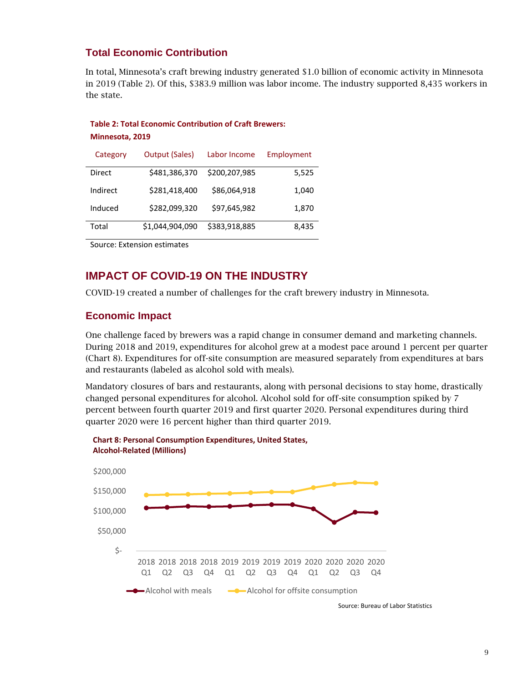## **Total Economic Contribution**

In total, Minnesota's craft brewing industry generated \$1.0 billion of economic activity in Minnesota in 2019 (Table 2). Of this, \$383.9 million was labor income. The industry supported 8,435 workers in the state.

#### **Table 2: Total Economic Contribution of Craft Brewers: Minnesota, 2019**

| Category | <b>Output (Sales)</b> | Labor Income  | Employment |
|----------|-----------------------|---------------|------------|
| Direct   | \$481,386,370         | \$200,207,985 | 5,525      |
| Indirect | \$281,418,400         | \$86,064,918  | 1,040      |
| Induced  | \$282,099,320         | \$97,645,982  | 1,870      |
| Total    | \$1,044,904,090       | \$383,918,885 | 8,435      |

Source: Extension estimates

## **IMPACT OF COVID-19 ON THE INDUSTRY**

COVID-19 created a number of challenges for the craft brewery industry in Minnesota.

## **Economic Impact**

One challenge faced by brewers was a rapid change in consumer demand and marketing channels. During 2018 and 2019, expenditures for alcohol grew at a modest pace around 1 percent per quarter (Chart 8). Expenditures for off-site consumption are measured separately from expenditures at bars and restaurants (labeled as alcohol sold with meals).

Mandatory closures of bars and restaurants, along with personal decisions to stay home, drastically changed personal expenditures for alcohol. Alcohol sold for off-site consumption spiked by 7 percent between fourth quarter 2019 and first quarter 2020. Personal expenditures during third quarter 2020 were 16 percent higher than third quarter 2019.



Source: Bureau of Labor Statistics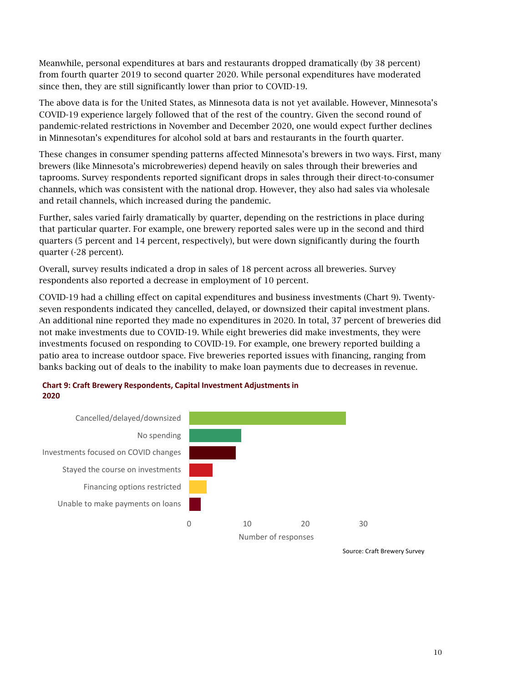Meanwhile, personal expenditures at bars and restaurants dropped dramatically (by 38 percent) from fourth quarter 2019 to second quarter 2020. While personal expenditures have moderated since then, they are still significantly lower than prior to COVID-19.

The above data is for the United States, as Minnesota data is not yet available. However, Minnesota's COVID-19 experience largely followed that of the rest of the country. Given the second round of pandemic-related restrictions in November and December 2020, one would expect further declines in Minnesotan's expenditures for alcohol sold at bars and restaurants in the fourth quarter.

These changes in consumer spending patterns affected Minnesota's brewers in two ways. First, many brewers (like Minnesota's microbreweries) depend heavily on sales through their breweries and taprooms. Survey respondents reported significant drops in sales through their direct-to-consumer channels, which was consistent with the national drop. However, they also had sales via wholesale and retail channels, which increased during the pandemic.

Further, sales varied fairly dramatically by quarter, depending on the restrictions in place during that particular quarter. For example, one brewery reported sales were up in the second and third quarters (5 percent and 14 percent, respectively), but were down significantly during the fourth quarter (-28 percent).

Overall, survey results indicated a drop in sales of 18 percent across all breweries. Survey respondents also reported a decrease in employment of 10 percent.

COVID-19 had a chilling effect on capital expenditures and business investments (Chart 9). Twentyseven respondents indicated they cancelled, delayed, or downsized their capital investment plans. An additional nine reported they made no expenditures in 2020. In total, 37 percent of breweries did not make investments due to COVID-19. While eight breweries did make investments, they were investments focused on responding to COVID-19. For example, one brewery reported building a patio area to increase outdoor space. Five breweries reported issues with financing, ranging from banks backing out of deals to the inability to make loan payments due to decreases in revenue.



#### **Chart 9: Craft Brewery Respondents, Capital Investment Adjustments in 2020**

Source: Craft Brewery Survey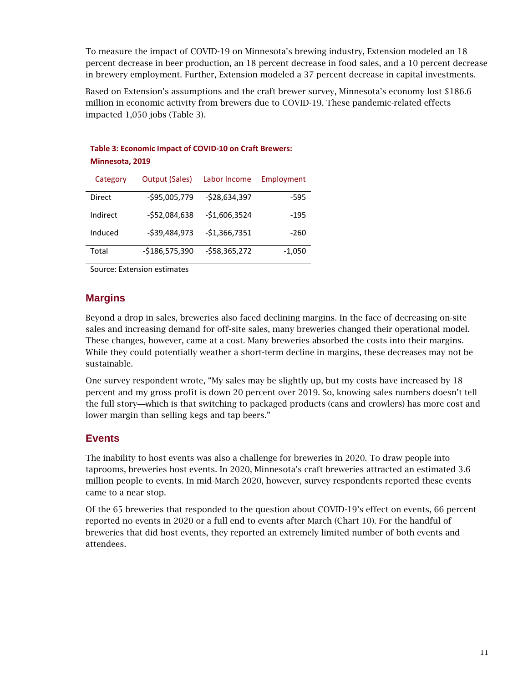To measure the impact of COVID-19 on Minnesota's brewing industry, Extension modeled an 18 percent decrease in beer production, an 18 percent decrease in food sales, and a 10 percent decrease in brewery employment. Further, Extension modeled a 37 percent decrease in capital investments.

Based on Extension's assumptions and the craft brewer survey, Minnesota's economy lost \$186.6 million in economic activity from brewers due to COVID-19. These pandemic-related effects impacted 1,050 jobs (Table 3).

| Table 3: Economic Impact of COVID-10 on Craft Brewers:<br>Minnesota, 2019 |                       |                |            |  |  |
|---------------------------------------------------------------------------|-----------------------|----------------|------------|--|--|
| Category                                                                  | <b>Output (Sales)</b> | Labor Income   | Employment |  |  |
| Direct                                                                    | $-$95,005,779$        | $-528,634,397$ | -595       |  |  |
| Indirect                                                                  | $-552,084,638$        | -\$1,606,3524  | $-195$     |  |  |
| Induced                                                                   | $-539,484,973$        | $-$1,366,7351$ | $-260$     |  |  |
| Total                                                                     | $-$186,575,390$       | -\$58,365,272  | $-1,050$   |  |  |

Source: Extension estimates

## **Margins**

Beyond a drop in sales, breweries also faced declining margins. In the face of decreasing on-site sales and increasing demand for off-site sales, many breweries changed their operational model. These changes, however, came at a cost. Many breweries absorbed the costs into their margins. While they could potentially weather a short-term decline in margins, these decreases may not be sustainable.

One survey respondent wrote, "My sales may be slightly up, but my costs have increased by 18 percent and my gross profit is down 20 percent over 2019. So, knowing sales numbers doesn't tell the full story—which is that switching to packaged products (cans and crowlers) has more cost and lower margin than selling kegs and tap beers."

#### **Events**

The inability to host events was also a challenge for breweries in 2020. To draw people into taprooms, breweries host events. In 2020, Minnesota's craft breweries attracted an estimated 3.6 million people to events. In mid-March 2020, however, survey respondents reported these events came to a near stop.

Of the 65 breweries that responded to the question about COVID-19's effect on events, 66 percent reported no events in 2020 or a full end to events after March (Chart 10). For the handful of breweries that did host events, they reported an extremely limited number of both events and attendees.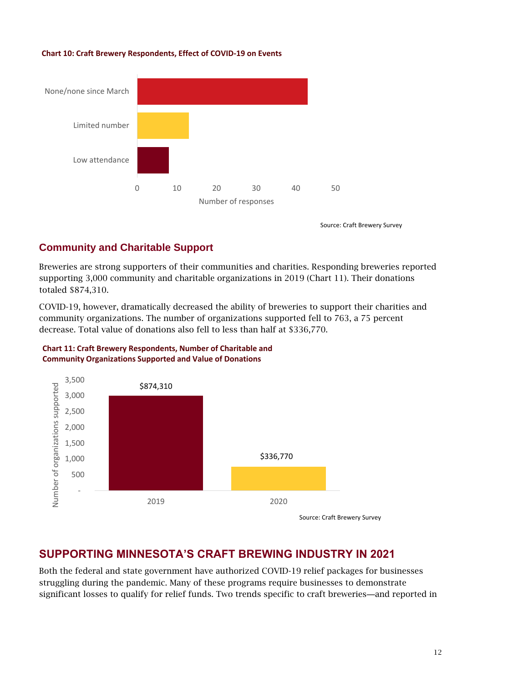#### **Chart 10: Craft Brewery Respondents, Effect of COVID-19 on Events**



Source: Craft Brewery Survey

## **Community and Charitable Support**

Breweries are strong supporters of their communities and charities. Responding breweries reported supporting 3,000 community and charitable organizations in 2019 (Chart 11). Their donations totaled \$874,310.

COVID-19, however, dramatically decreased the ability of breweries to support their charities and community organizations. The number of organizations supported fell to 763, a 75 percent decrease. Total value of donations also fell to less than half at \$336,770.





## **SUPPORTING MINNESOTA'S CRAFT BREWING INDUSTRY IN 2021**

Both the federal and state government have authorized COVID-19 relief packages for businesses struggling during the pandemic. Many of these programs require businesses to demonstrate significant losses to qualify for relief funds. Two trends specific to craft breweries—and reported in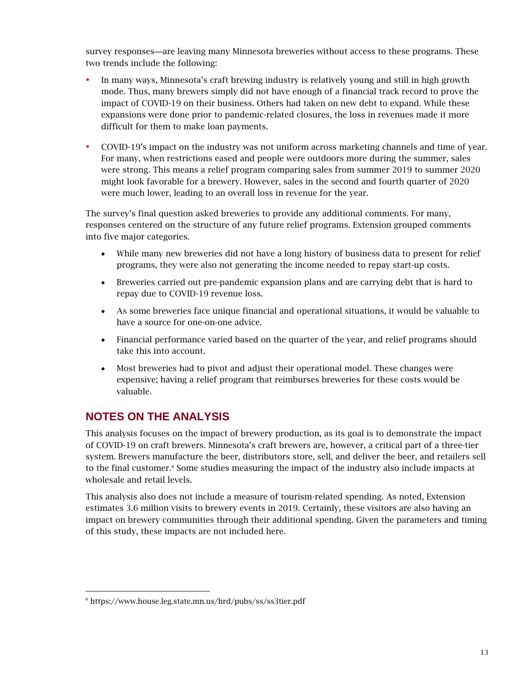survey responses—are leaving many Minnesota breweries without access to these programs. These two trends include the following:

- In many ways, Minnesota's craft brewing industry is relatively young and still in high growth mode. Thus, many brewers simply did not have enough of a financial track record to prove the impact of COVID-19 on their business. Others had taken on new debt to expand. While these expansions were done prior to pandemic-related closures, the loss in revenues made it more difficult for them to make loan payments.
- COVID-19's impact on the industry was not uniform across marketing channels and time of year. For many, when restrictions eased and people were outdoors more during the summer, sales were strong. This means a relief program comparing sales from summer 2019 to summer 2020 might look favorable for a brewery. However, sales in the second and fourth quarter of 2020 were much lower, leading to an overall loss in revenue for the year.

The survey's final question asked breweries to provide any additional comments. For many, responses centered on the structure of any future relief programs. Extension grouped comments into five major categories.

- While many new breweries did not have a long history of business data to present for relief programs, they were also not generating the income needed to repay start-up costs.
- Breweries carried out pre-pandemic expansion plans and are carrying debt that is hard to repay due to COVID-19 revenue loss.
- As some breweries face unique financial and operational situations, it would be valuable to have a source for one-on-one advice.
- Financial performance varied based on the quarter of the year, and relief programs should take this into account.
- Most breweries had to pivot and adjust their operational model. These changes were expensive; having a relief program that reimburses breweries for these costs would be valuable.

## **NOTES ON THE ANALYSIS**

This analysis focuses on the impact of brewery production, as its goal is to demonstrate the impact of COVID-19 on craft brewers. Minnesota's craft brewers are, however, a critical part of a three-tier system. Brewers manufacture the beer, distributors store, sell, and deliver the beer, and retailers sell to the final customer.<sup>8</sup> Some studies measuring the impact of the industry also include impacts at wholesale and retail levels.

This analysis also does not include a measure of tourism-related spending. As noted, Extension estimates 3.6 million visits to brewery events in 2019. Certainly, these visitors are also having an impact on brewery communities through their additional spending. Given the parameters and timing of this study, these impacts are not included here.

<sup>8</sup> https://www.house.leg.state.mn.us/hrd/pubs/ss/ss3tier.pdf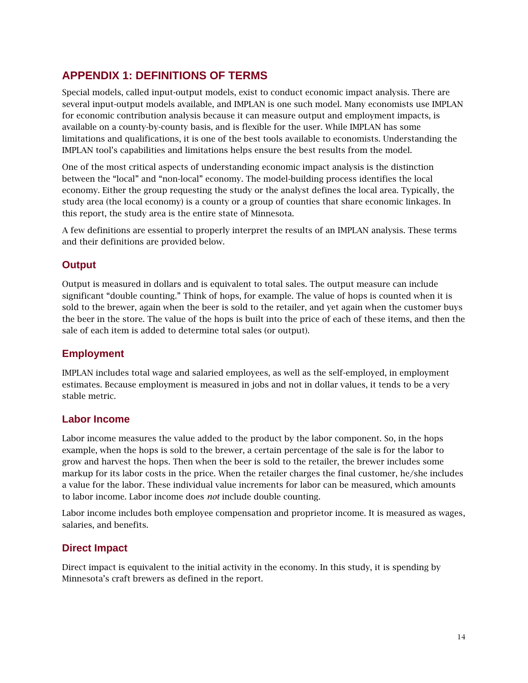## **APPENDIX 1: DEFINITIONS OF TERMS**

Special models, called input-output models, exist to conduct economic impact analysis. There are several input-output models available, and IMPLAN is one such model. Many economists use IMPLAN for economic contribution analysis because it can measure output and employment impacts, is available on a county-by-county basis, and is flexible for the user. While IMPLAN has some limitations and qualifications, it is one of the best tools available to economists. Understanding the IMPLAN tool's capabilities and limitations helps ensure the best results from the model.

One of the most critical aspects of understanding economic impact analysis is the distinction between the "local" and "non-local" economy. The model-building process identifies the local economy. Either the group requesting the study or the analyst defines the local area. Typically, the study area (the local economy) is a county or a group of counties that share economic linkages. In this report, the study area is the entire state of Minnesota.

A few definitions are essential to properly interpret the results of an IMPLAN analysis. These terms and their definitions are provided below.

## **Output**

Output is measured in dollars and is equivalent to total sales. The output measure can include significant "double counting." Think of hops, for example. The value of hops is counted when it is sold to the brewer, again when the beer is sold to the retailer, and yet again when the customer buys the beer in the store. The value of the hops is built into the price of each of these items, and then the sale of each item is added to determine total sales (or output).

#### **Employment**

IMPLAN includes total wage and salaried employees, as well as the self-employed, in employment estimates. Because employment is measured in jobs and not in dollar values, it tends to be a very stable metric.

#### **Labor Income**

Labor income measures the value added to the product by the labor component. So, in the hops example, when the hops is sold to the brewer, a certain percentage of the sale is for the labor to grow and harvest the hops. Then when the beer is sold to the retailer, the brewer includes some markup for its labor costs in the price. When the retailer charges the final customer, he/she includes a value for the labor. These individual value increments for labor can be measured, which amounts to labor income. Labor income does *not* include double counting.

Labor income includes both employee compensation and proprietor income. It is measured as wages, salaries, and benefits.

## **Direct Impact**

Direct impact is equivalent to the initial activity in the economy. In this study, it is spending by Minnesota's craft brewers as defined in the report.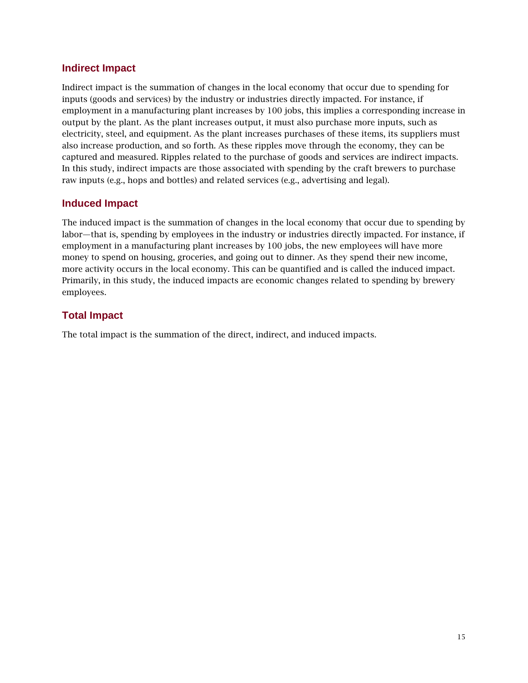## **Indirect Impact**

Indirect impact is the summation of changes in the local economy that occur due to spending for inputs (goods and services) by the industry or industries directly impacted. For instance, if employment in a manufacturing plant increases by 100 jobs, this implies a corresponding increase in output by the plant. As the plant increases output, it must also purchase more inputs, such as electricity, steel, and equipment. As the plant increases purchases of these items, its suppliers must also increase production, and so forth. As these ripples move through the economy, they can be captured and measured. Ripples related to the purchase of goods and services are indirect impacts. In this study, indirect impacts are those associated with spending by the craft brewers to purchase raw inputs (e.g., hops and bottles) and related services (e.g., advertising and legal).

## **Induced Impact**

The induced impact is the summation of changes in the local economy that occur due to spending by labor—that is, spending by employees in the industry or industries directly impacted. For instance, if employment in a manufacturing plant increases by 100 jobs, the new employees will have more money to spend on housing, groceries, and going out to dinner. As they spend their new income, more activity occurs in the local economy. This can be quantified and is called the induced impact. Primarily, in this study, the induced impacts are economic changes related to spending by brewery employees.

## **Total Impact**

The total impact is the summation of the direct, indirect, and induced impacts.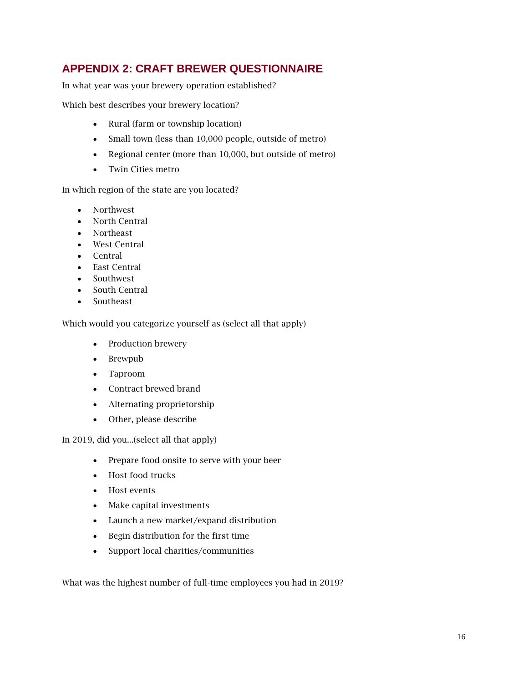## **APPENDIX 2: CRAFT BREWER QUESTIONNAIRE**

In what year was your brewery operation established?

Which best describes your brewery location?

- Rural (farm or township location)
- Small town (less than 10,000 people, outside of metro)
- Regional center (more than 10,000, but outside of metro)
- Twin Cities metro

In which region of the state are you located?

- Northwest
- North Central
- Northeast
- West Central
- Central
- East Central
- Southwest
- South Central
- Southeast

Which would you categorize yourself as (select all that apply)

- Production brewery
- Brewpub
- Taproom
- Contract brewed brand
- Alternating proprietorship
- Other, please describe

In 2019, did you...(select all that apply)

- Prepare food onsite to serve with your beer
- Host food trucks
- Host events
- Make capital investments
- Launch a new market/expand distribution
- Begin distribution for the first time
- Support local charities/communities

What was the highest number of full-time employees you had in 2019?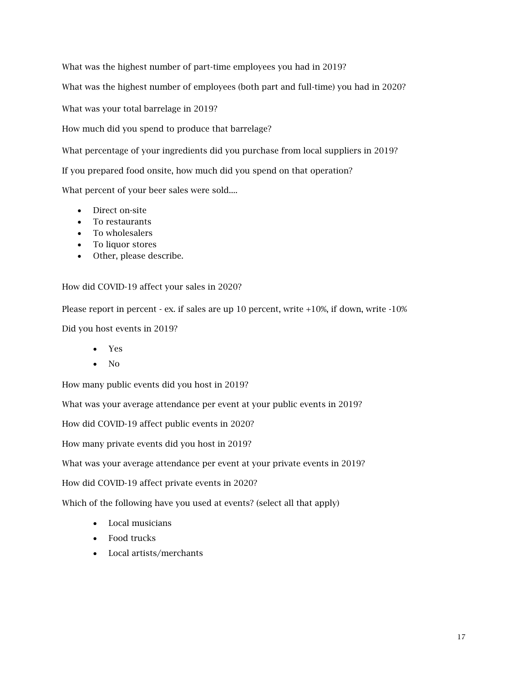What was the highest number of part-time employees you had in 2019?

What was the highest number of employees (both part and full-time) you had in 2020?

What was your total barrelage in 2019?

How much did you spend to produce that barrelage?

What percentage of your ingredients did you purchase from local suppliers in 2019?

If you prepared food onsite, how much did you spend on that operation?

What percent of your beer sales were sold....

- Direct on-site
- To restaurants
- To wholesalers
- To liquor stores
- Other, please describe.

How did COVID-19 affect your sales in 2020?

Please report in percent - ex. if sales are up 10 percent, write +10%, if down, write -10%

Did you host events in 2019?

- Yes
- No

How many public events did you host in 2019?

What was your average attendance per event at your public events in 2019?

How did COVID-19 affect public events in 2020?

How many private events did you host in 2019?

What was your average attendance per event at your private events in 2019?

How did COVID-19 affect private events in 2020?

Which of the following have you used at events? (select all that apply)

- Local musicians
- Food trucks
- Local artists/merchants